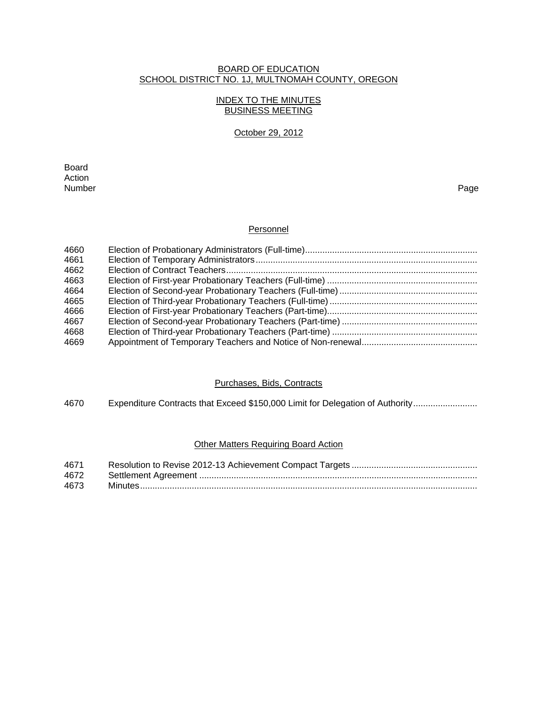## BOARD OF EDUCATION SCHOOL DISTRICT NO. 1J, MULTNOMAH COUNTY, OREGON

## INDEX TO THE MINUTES BUSINESS MEETING

#### October 29, 2012

extending the control of the control of the control of the control of the control of the control of the control of the control of the control of the control of the control of the control of the control of the control of th Action<br>Number Number Page

### **Personnel**

| 4660 |  |
|------|--|
| 4661 |  |
| 4662 |  |
| 4663 |  |
| 4664 |  |
| 4665 |  |
| 4666 |  |
| 4667 |  |
| 4668 |  |
| 4669 |  |
|      |  |

## Purchases, Bids, Contracts

4670 Expenditure Contracts that Exceed \$150,000 Limit for Delegation of Authority ..........................

#### Other Matters Requiring Board Action

| 4671 |  |
|------|--|
| 4672 |  |
| 4673 |  |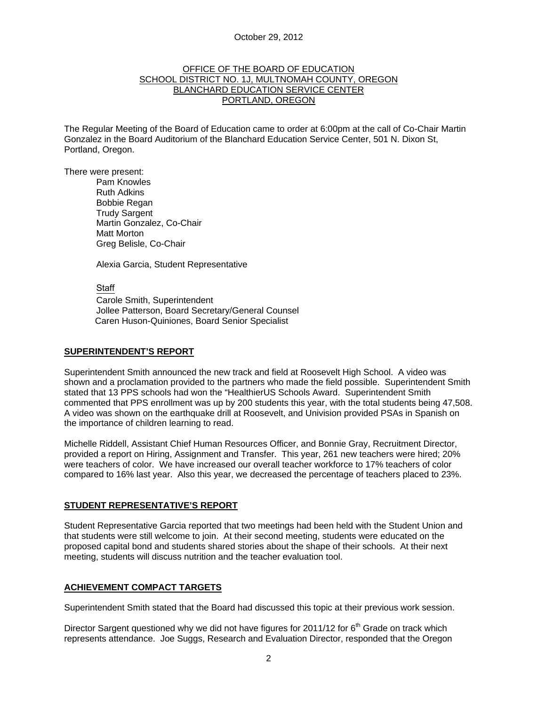#### OFFICE OF THE BOARD OF EDUCATION SCHOOL DISTRICT NO. 1J, MULTNOMAH COUNTY, OREGON BLANCHARD EDUCATION SERVICE CENTER PORTLAND, OREGON

The Regular Meeting of the Board of Education came to order at 6:00pm at the call of Co-Chair Martin Gonzalez in the Board Auditorium of the Blanchard Education Service Center, 501 N. Dixon St, Portland, Oregon.

There were present: Pam Knowles

Ruth Adkins Bobbie Regan Trudy Sargent Martin Gonzalez, Co-Chair Matt Morton Greg Belisle, Co-Chair

Alexia Garcia, Student Representative

**Staff** 

 Carole Smith, Superintendent Jollee Patterson, Board Secretary/General Counsel Caren Huson-Quiniones, Board Senior Specialist

#### **SUPERINTENDENT'S REPORT**

Superintendent Smith announced the new track and field at Roosevelt High School. A video was shown and a proclamation provided to the partners who made the field possible. Superintendent Smith stated that 13 PPS schools had won the "HealthierUS Schools Award. Superintendent Smith commented that PPS enrollment was up by 200 students this year, with the total students being 47,508. A video was shown on the earthquake drill at Roosevelt, and Univision provided PSAs in Spanish on the importance of children learning to read.

Michelle Riddell, Assistant Chief Human Resources Officer, and Bonnie Gray, Recruitment Director, provided a report on Hiring, Assignment and Transfer. This year, 261 new teachers were hired; 20% were teachers of color. We have increased our overall teacher workforce to 17% teachers of color compared to 16% last year. Also this year, we decreased the percentage of teachers placed to 23%.

#### **STUDENT REPRESENTATIVE'S REPORT**

Student Representative Garcia reported that two meetings had been held with the Student Union and that students were still welcome to join. At their second meeting, students were educated on the proposed capital bond and students shared stories about the shape of their schools. At their next meeting, students will discuss nutrition and the teacher evaluation tool.

#### **ACHIEVEMENT COMPACT TARGETS**

Superintendent Smith stated that the Board had discussed this topic at their previous work session.

Director Sargent questioned why we did not have figures for 2011/12 for  $6<sup>th</sup>$  Grade on track which represents attendance. Joe Suggs, Research and Evaluation Director, responded that the Oregon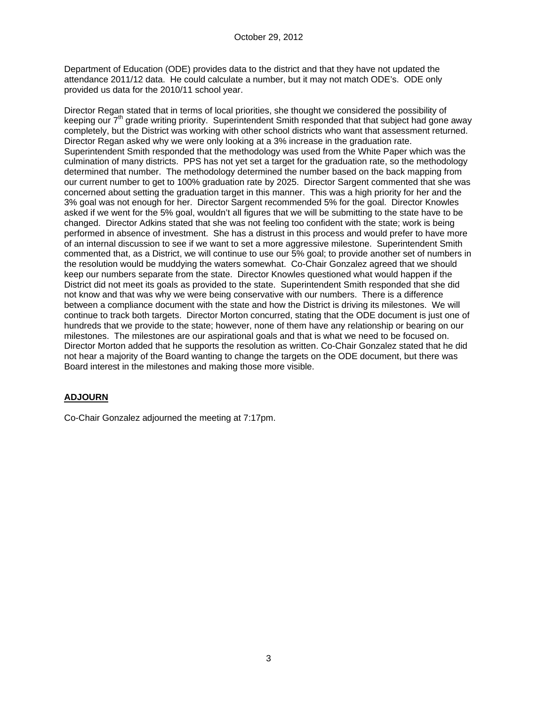Department of Education (ODE) provides data to the district and that they have not updated the attendance 2011/12 data. He could calculate a number, but it may not match ODE's. ODE only provided us data for the 2010/11 school year.

Director Regan stated that in terms of local priorities, she thought we considered the possibility of keeping our  $7<sup>th</sup>$  grade writing priority. Superintendent Smith responded that that subject had gone away completely, but the District was working with other school districts who want that assessment returned. Director Regan asked why we were only looking at a 3% increase in the graduation rate. Superintendent Smith responded that the methodology was used from the White Paper which was the culmination of many districts. PPS has not yet set a target for the graduation rate, so the methodology determined that number. The methodology determined the number based on the back mapping from our current number to get to 100% graduation rate by 2025. Director Sargent commented that she was concerned about setting the graduation target in this manner. This was a high priority for her and the 3% goal was not enough for her. Director Sargent recommended 5% for the goal. Director Knowles asked if we went for the 5% goal, wouldn't all figures that we will be submitting to the state have to be changed. Director Adkins stated that she was not feeling too confident with the state; work is being performed in absence of investment. She has a distrust in this process and would prefer to have more of an internal discussion to see if we want to set a more aggressive milestone. Superintendent Smith commented that, as a District, we will continue to use our 5% goal; to provide another set of numbers in the resolution would be muddying the waters somewhat. Co-Chair Gonzalez agreed that we should keep our numbers separate from the state. Director Knowles questioned what would happen if the District did not meet its goals as provided to the state. Superintendent Smith responded that she did not know and that was why we were being conservative with our numbers. There is a difference between a compliance document with the state and how the District is driving its milestones. We will continue to track both targets. Director Morton concurred, stating that the ODE document is just one of hundreds that we provide to the state; however, none of them have any relationship or bearing on our milestones. The milestones are our aspirational goals and that is what we need to be focused on. Director Morton added that he supports the resolution as written. Co-Chair Gonzalez stated that he did not hear a majority of the Board wanting to change the targets on the ODE document, but there was Board interest in the milestones and making those more visible.

# **ADJOURN**

Co-Chair Gonzalez adjourned the meeting at 7:17pm.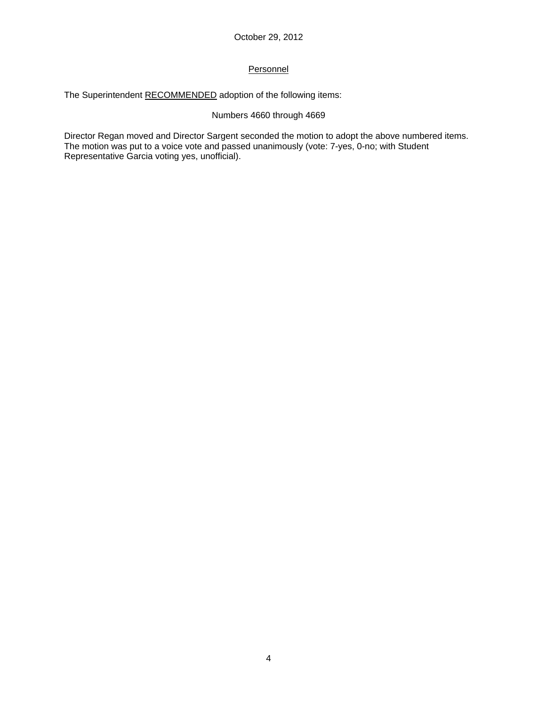# Personnel

The Superintendent RECOMMENDED adoption of the following items:

# Numbers 4660 through 4669

Director Regan moved and Director Sargent seconded the motion to adopt the above numbered items. The motion was put to a voice vote and passed unanimously (vote: 7-yes, 0-no; with Student Representative Garcia voting yes, unofficial).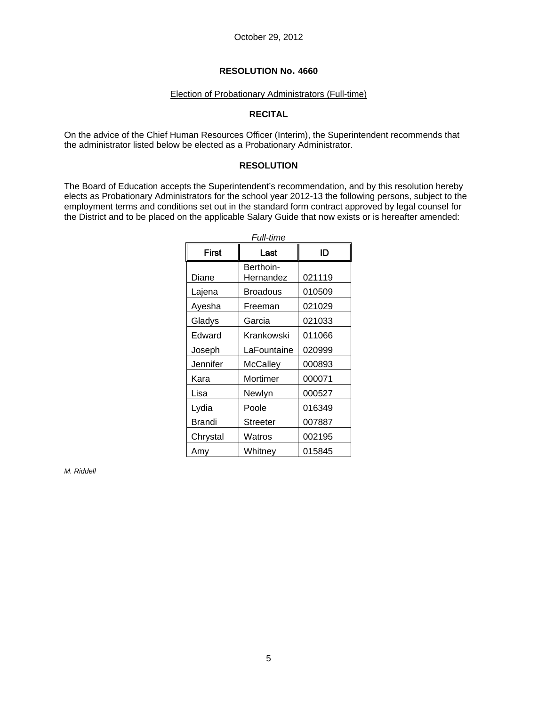#### Election of Probationary Administrators (Full-time)

### **RECITAL**

On the advice of the Chief Human Resources Officer (Interim), the Superintendent recommends that the administrator listed below be elected as a Probationary Administrator.

### **RESOLUTION**

The Board of Education accepts the Superintendent's recommendation, and by this resolution hereby elects as Probationary Administrators for the school year 2012-13 the following persons, subject to the employment terms and conditions set out in the standard form contract approved by legal counsel for the District and to be placed on the applicable Salary Guide that now exists or is hereafter amended:

| <i><b>Full-time</b></i> |                 |        |
|-------------------------|-----------------|--------|
| <b>First</b>            | Last            | ID     |
|                         | Berthoin-       |        |
| Diane                   | Hernandez       | 021119 |
| Lajena                  | Broadous        | 010509 |
| Ayesha                  | Freeman         | 021029 |
| Gladys                  | Garcia          | 021033 |
| Edward                  | Krankowski      | 011066 |
| Joseph                  | LaFountaine     | 020999 |
| Jennifer                | McCalley        | 000893 |
| Kara                    | Mortimer        | 000071 |
| Lisa                    | Newlyn          | 000527 |
| Lydia                   | Poole           | 016349 |
| <b>Brandi</b>           | <b>Streeter</b> | 007887 |
| Chrystal                | Watros          | 002195 |
| Amy                     | Whitney         | 015845 |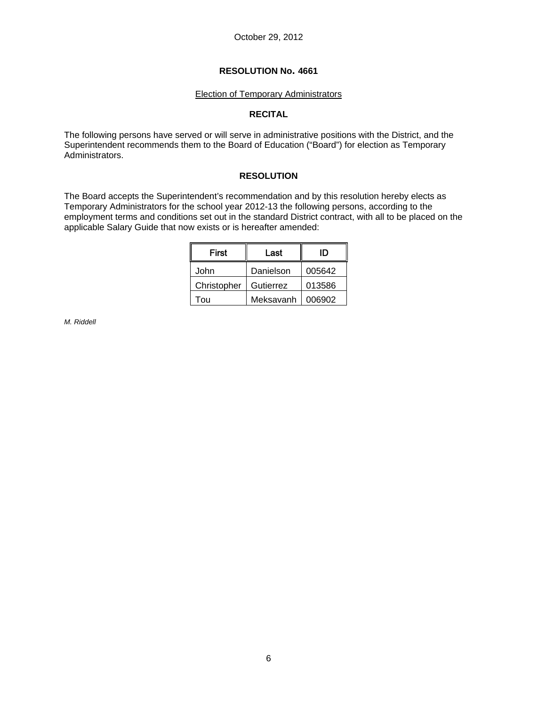#### Election of Temporary Administrators

#### **RECITAL**

The following persons have served or will serve in administrative positions with the District, and the Superintendent recommends them to the Board of Education ("Board") for election as Temporary Administrators.

### **RESOLUTION**

The Board accepts the Superintendent's recommendation and by this resolution hereby elects as Temporary Administrators for the school year 2012-13 the following persons, according to the employment terms and conditions set out in the standard District contract, with all to be placed on the applicable Salary Guide that now exists or is hereafter amended:

| First       | Last      | ID     |
|-------------|-----------|--------|
| John        | Danielson | 005642 |
| Christopher | Gutierrez | 013586 |
| Του         | Meksavanh | 006902 |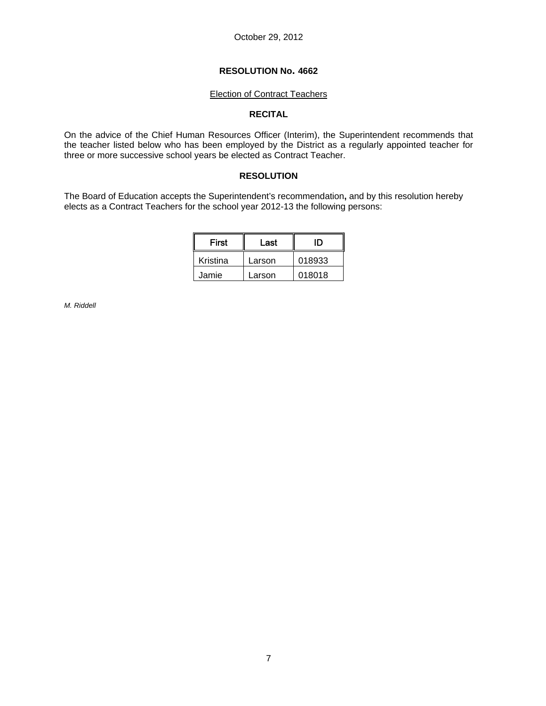#### Election of Contract Teachers

### **RECITAL**

On the advice of the Chief Human Resources Officer (Interim), the Superintendent recommends that the teacher listed below who has been employed by the District as a regularly appointed teacher for three or more successive school years be elected as Contract Teacher.

### **RESOLUTION**

The Board of Education accepts the Superintendent's recommendation**,** and by this resolution hereby elects as a Contract Teachers for the school year 2012-13 the following persons:

| First    | Last   | ID     |
|----------|--------|--------|
| Kristina | Larson | 018933 |
| Jamie    | Larson | 018018 |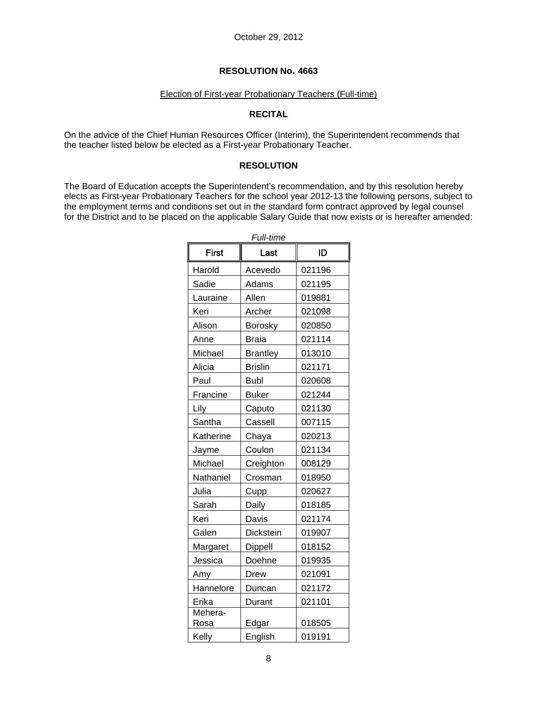## Election of First-year Probationary Teachers (Full-time)

#### **RECITAL**

On the advice of the Chief Human Resources Officer (Interim), the Superintendent recommends that the teacher listed below be elected as a First-year Probationary Teacher.

#### **RESOLUTION**

The Board of Education accepts the Superintendent's recommendation, and by this resolution hereby elects as First-year Probationary Teachers for the school year 2012-13 the following persons, subject to the employment terms and conditions set out in the standard form contract approved by legal counsel for the District and to be placed on the applicable Salary Guide that now exists or is hereafter amended:

| Full-time       |                 |        |  |
|-----------------|-----------------|--------|--|
| <b>First</b>    | Last            | ID     |  |
| Harold          | Acevedo         | 021196 |  |
| Sadie           | Adams           | 021195 |  |
| Lauraine        | Allen           | 019881 |  |
| Keri            | Archer          | 021098 |  |
| Alison          | Borosky         | 020850 |  |
| Anne            | <b>Braia</b>    | 021114 |  |
| Michael         | <b>Brantley</b> | 013010 |  |
| Alicia          | <b>Brislin</b>  | 021171 |  |
| Paul            | <b>Bubl</b>     | 020608 |  |
| Francine        | <b>Buker</b>    | 021244 |  |
| Lily            | Caputo          | 021130 |  |
| Santha          | Cassell         | 007115 |  |
| Katherine       | Chaya           | 020213 |  |
| Jayme           | Coulon          | 021134 |  |
| Michael         | Creighton       | 008129 |  |
| Nathaniel       | Crosman         | 018950 |  |
| Julia           | Cupp            | 020627 |  |
| Sarah           | Daily           | 018185 |  |
| Keri            | Davis           | 021174 |  |
| Galen           | Dickstein       | 019907 |  |
| Margaret        | Dippell         | 018152 |  |
| Jessica         | Doehne          | 019935 |  |
| Amy             | Drew            | 021091 |  |
| Hannelore       | Duncan          | 021172 |  |
| Erika           | Durant          | 021101 |  |
| Mehera-<br>Rosa | Edgar           | 018505 |  |
| Kelly           | English         | 019191 |  |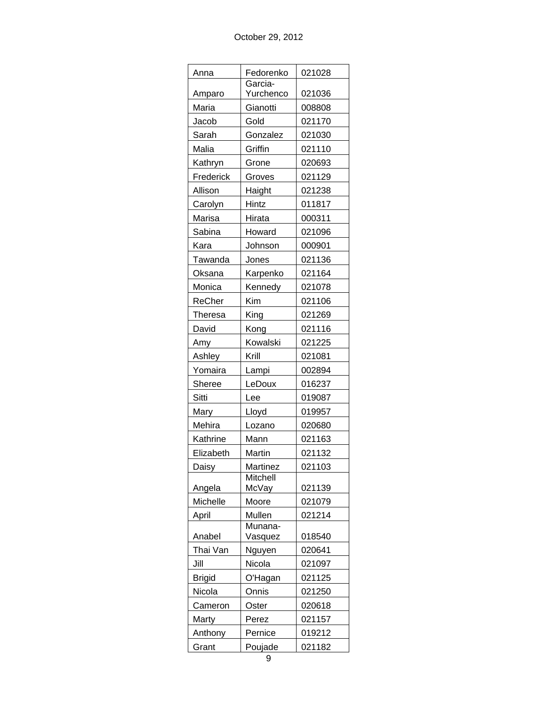| Anna          | Fedorenko         | 021028 |
|---------------|-------------------|--------|
|               | Garcia-           |        |
| Amparo        | Yurchenco         | 021036 |
| Maria         | Gianotti          | 008808 |
| Jacob         | Gold              | 021170 |
| Sarah         | Gonzalez          | 021030 |
| Malia         | Griffin           | 021110 |
| Kathryn       | Grone             | 020693 |
| Frederick     | Groves            | 021129 |
| Allison       | Haight            | 021238 |
| Carolyn       | Hintz             | 011817 |
| Marisa        | Hirata            | 000311 |
| Sabina        | Howard            | 021096 |
| Kara          | Johnson           | 000901 |
| Tawanda       | Jones             | 021136 |
| Oksana        | Karpenko          | 021164 |
| Monica        | Kennedy           | 021078 |
| ReCher        | Kim               | 021106 |
| Theresa       | King              | 021269 |
| David         | Kong              | 021116 |
| Amy           | Kowalski          | 021225 |
| Ashley        | Krill             | 021081 |
| Yomaira       | Lampi             | 002894 |
| Sheree        | LeDoux            | 016237 |
| Sitti         | Lee               | 019087 |
| Mary          | Lloyd             | 019957 |
| Mehira        | Lozano            | 020680 |
| Kathrine      | Mann              | 021163 |
| Elizabeth     | Martin            | 021132 |
| Daisy         | Martinez          | 021103 |
|               | Mitchell          |        |
| Angela        | McVay             | 021139 |
| Michelle      | Moore             | 021079 |
| April         | Mullen<br>Munana- | 021214 |
| Anabel        | Vasquez           | 018540 |
| Thai Van      | Nguyen            | 020641 |
| Jill          | Nicola            | 021097 |
| <b>Brigid</b> | O'Hagan           | 021125 |
| Nicola        | Onnis             | 021250 |
| Cameron       | Oster             | 020618 |
| Marty         | Perez             | 021157 |
| Anthony       | Pernice           | 019212 |
| Grant         | Poujade           | 021182 |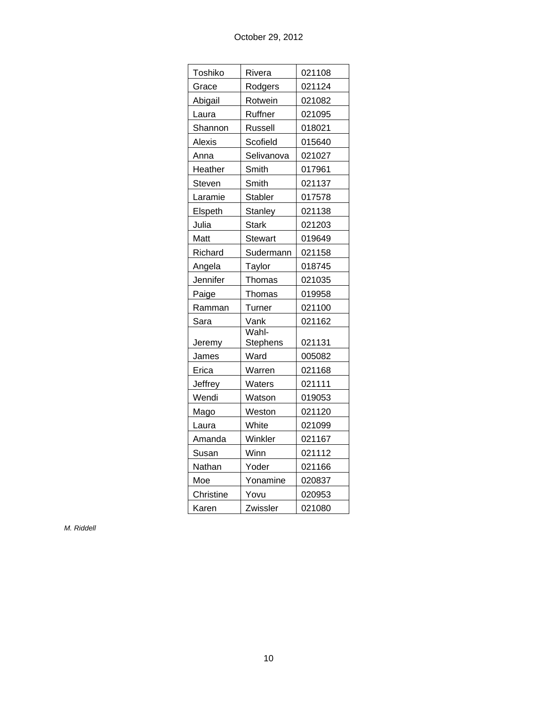| Toshiko       | Rivera                                   | 021108 |
|---------------|------------------------------------------|--------|
| Grace         | Rodgers                                  | 021124 |
| Abigail       | Rotwein                                  | 021082 |
| Laura         | Ruffner                                  | 021095 |
| Shannon       | Russell                                  | 018021 |
| <b>Alexis</b> | Scofield                                 | 015640 |
| Anna          | Selivanova                               | 021027 |
| Heather       | Smith                                    | 017961 |
| Steven        | Smith                                    | 021137 |
| Laramie       | <b>Stabler</b>                           | 017578 |
| Elspeth       | <b>Stanley</b>                           | 021138 |
| Julia         | <b>Stark</b>                             | 021203 |
| Matt          | <b>Stewart</b>                           | 019649 |
| Richard       | Sudermann                                | 021158 |
| Angela        | Taylor                                   | 018745 |
| Jennifer      | Thomas                                   | 021035 |
| Paige         | Thomas                                   | 019958 |
| Ramman        | Turner                                   | 021100 |
| Sara          | Vank                                     | 021162 |
| Jeremy        | $\overline{\mathsf{W}}$ ahl-<br>Stephens | 021131 |
| James         | Ward                                     | 005082 |
| Erica         | Warren                                   | 021168 |
| Jeffrey       | Waters                                   | 021111 |
| Wendi         | Watson                                   | 019053 |
| Mago          | Weston                                   | 021120 |
| Laura         | White                                    | 021099 |
| Amanda        | Winkler                                  | 021167 |
| Susan         | Winn                                     | 021112 |
| Nathan        | Yoder                                    | 021166 |
| Moe           | Yonamine                                 | 020837 |
| Christine     | Yovu                                     | 020953 |
| Karen         | Zwissler                                 | 021080 |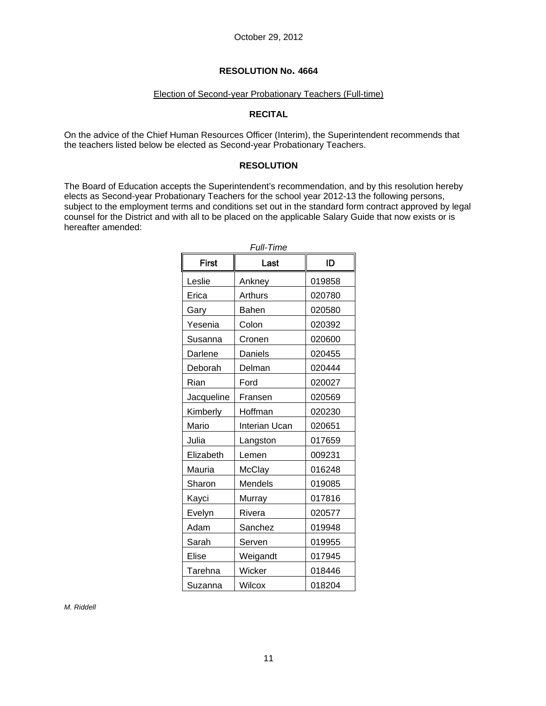## Election of Second-year Probationary Teachers (Full-time)

## **RECITAL**

On the advice of the Chief Human Resources Officer (Interim), the Superintendent recommends that the teachers listed below be elected as Second-year Probationary Teachers.

### **RESOLUTION**

The Board of Education accepts the Superintendent's recommendation, and by this resolution hereby elects as Second-year Probationary Teachers for the school year 2012-13 the following persons, subject to the employment terms and conditions set out in the standard form contract approved by legal counsel for the District and with all to be placed on the applicable Salary Guide that now exists or is hereafter amended:

| <b>First</b> | Last          | ID     |
|--------------|---------------|--------|
| Leslie       | Ankney        | 019858 |
| Erica        | Arthurs       | 020780 |
| Gary         | Bahen         | 020580 |
| Yesenia      | Colon         | 020392 |
| Susanna      | Cronen        | 020600 |
| Darlene      | Daniels       | 020455 |
| Deborah      | Delman        | 020444 |
| Rian         | Ford          | 020027 |
| Jacqueline   | Fransen       | 020569 |
| Kimberly     | Hoffman       | 020230 |
| Mario        | Interian Ucan | 020651 |
| Julia        | Langston      | 017659 |
| Elizabeth    | Lemen         | 009231 |
| Mauria       | McClay        | 016248 |
| Sharon       | Mendels       | 019085 |
| Kayci        | Murray        | 017816 |
| Evelyn       | Rivera        | 020577 |
| Adam         | Sanchez       | 019948 |
| Sarah        | Serven        | 019955 |
| Elise        | Weigandt      | 017945 |
| Tarehna      | Wicker        | 018446 |
| Suzanna      | Wilcox        | 018204 |

*Full-Time*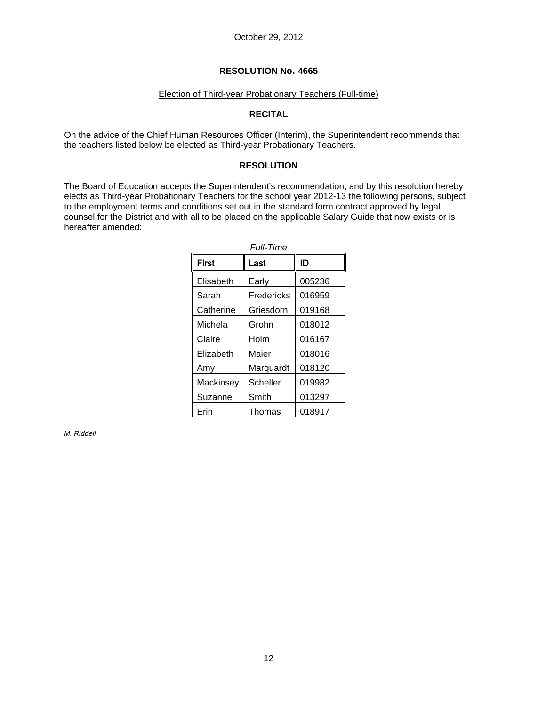## Election of Third-year Probationary Teachers (Full-time)

## **RECITAL**

On the advice of the Chief Human Resources Officer (Interim), the Superintendent recommends that the teachers listed below be elected as Third-year Probationary Teachers.

### **RESOLUTION**

The Board of Education accepts the Superintendent's recommendation, and by this resolution hereby elects as Third-year Probationary Teachers for the school year 2012-13 the following persons, subject to the employment terms and conditions set out in the standard form contract approved by legal counsel for the District and with all to be placed on the applicable Salary Guide that now exists or is hereafter amended:

| <b>Full-Time</b> |            |        |  |
|------------------|------------|--------|--|
| First            | Last       | ID     |  |
| Elisabeth        | Early      | 005236 |  |
| Sarah            | Fredericks | 016959 |  |
| Catherine        | Griesdorn  | 019168 |  |
| Michela          | Grohn      | 018012 |  |
| Claire           | Holm       | 016167 |  |
| Elizabeth        | Maier      | 018016 |  |
| Amy              | Marquardt  | 018120 |  |
| Mackinsey        | Scheller   | 019982 |  |
| Suzanne          | Smith      | 013297 |  |
| Erin             | Thomas     | 018917 |  |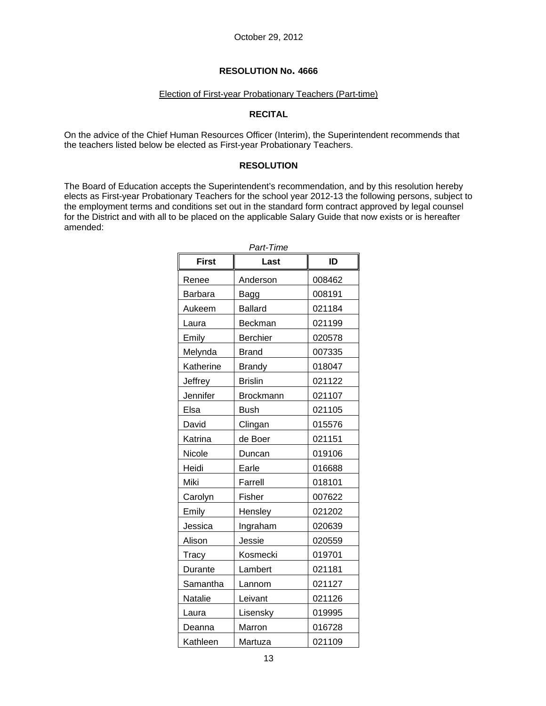#### Election of First-year Probationary Teachers (Part-time)

#### **RECITAL**

On the advice of the Chief Human Resources Officer (Interim), the Superintendent recommends that the teachers listed below be elected as First-year Probationary Teachers.

#### **RESOLUTION**

The Board of Education accepts the Superintendent's recommendation, and by this resolution hereby elects as First-year Probationary Teachers for the school year 2012-13 the following persons, subject to the employment terms and conditions set out in the standard form contract approved by legal counsel for the District and with all to be placed on the applicable Salary Guide that now exists or is hereafter amended:

| <b>First</b>   | Last             | ID     |
|----------------|------------------|--------|
| Renee          | Anderson         | 008462 |
| <b>Barbara</b> | <b>Bagg</b>      | 008191 |
| Aukeem         | <b>Ballard</b>   | 021184 |
| Laura          | Beckman          | 021199 |
| Emily          | <b>Berchier</b>  | 020578 |
| Melynda        | <b>Brand</b>     | 007335 |
| Katherine      | <b>Brandy</b>    | 018047 |
| Jeffrey        | <b>Brislin</b>   | 021122 |
| Jennifer       | <b>Brockmann</b> | 021107 |
| Elsa           | <b>Bush</b>      | 021105 |
| David          | Clingan          | 015576 |
| Katrina        | de Boer          | 021151 |
| Nicole         | Duncan           | 019106 |
| Heidi          | Earle            | 016688 |
| Miki           | Farrell          | 018101 |
| Carolyn        | Fisher           | 007622 |
| Emily          | <b>Hensley</b>   | 021202 |
| Jessica        | Ingraham         | 020639 |
| Alison         | Jessie           | 020559 |
| Tracy          | Kosmecki         | 019701 |
| Durante        | Lambert          | 021181 |
| Samantha       | Lannom           | 021127 |
| Natalie        | Leivant          | 021126 |
| Laura          | Lisensky         | 019995 |
| Deanna         | Marron           | 016728 |
| Kathleen       | Martuza          | 021109 |

*Part-Time*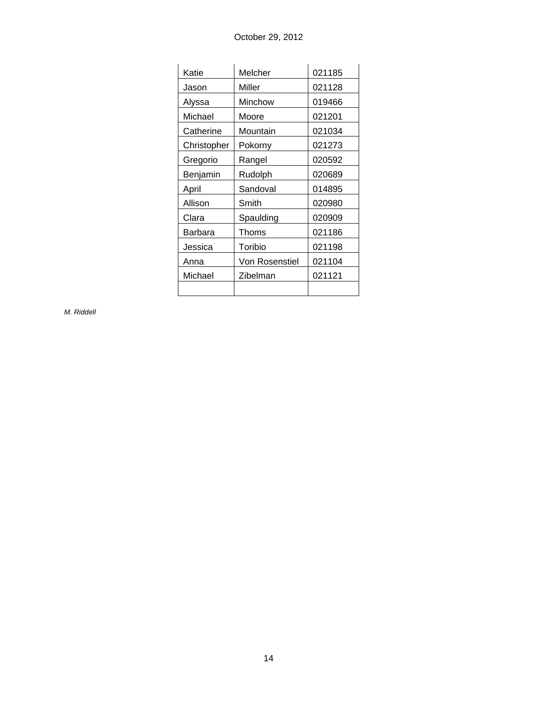| Katie       | Melcher        | 021185 |
|-------------|----------------|--------|
| Jason       | Miller         | 021128 |
| Alyssa      | Minchow        | 019466 |
| Michael     | Moore          | 021201 |
| Catherine   | Mountain       | 021034 |
| Christopher | Pokorny        | 021273 |
| Gregorio    | Rangel         | 020592 |
| Benjamin    | Rudolph        | 020689 |
| April       | Sandoval       | 014895 |
| Allison     | Smith          | 020980 |
| Clara       | Spaulding      | 020909 |
| Barbara     | Thoms          | 021186 |
| Jessica     | Toribio        | 021198 |
| Anna        | Von Rosenstiel | 021104 |
| Michael     | Zibelman       | 021121 |
|             |                |        |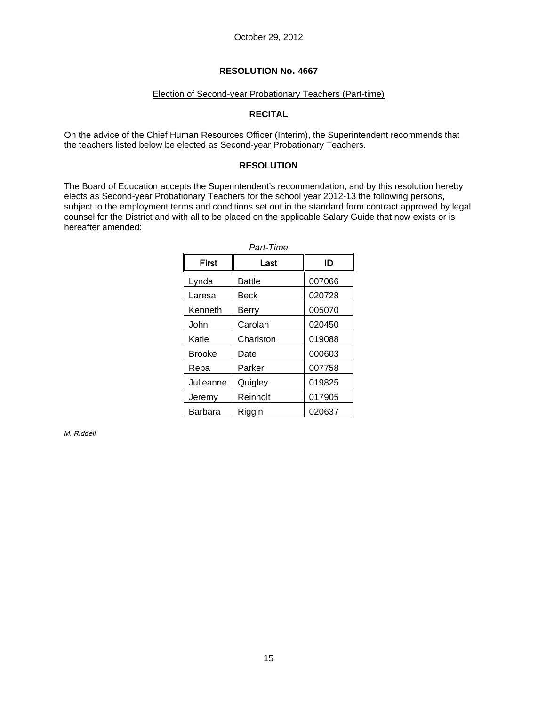## Election of Second-year Probationary Teachers (Part-time)

## **RECITAL**

On the advice of the Chief Human Resources Officer (Interim), the Superintendent recommends that the teachers listed below be elected as Second-year Probationary Teachers.

#### **RESOLUTION**

The Board of Education accepts the Superintendent's recommendation, and by this resolution hereby elects as Second-year Probationary Teachers for the school year 2012-13 the following persons, subject to the employment terms and conditions set out in the standard form contract approved by legal counsel for the District and with all to be placed on the applicable Salary Guide that now exists or is hereafter amended:

| First              | Last         | ID     |  |
|--------------------|--------------|--------|--|
| Lynda              | Battle       | 007066 |  |
| Laresa             | Beck         | 020728 |  |
| Kenneth            | <b>Berry</b> | 005070 |  |
| John               | Carolan      | 020450 |  |
| Katie              | Charlston    | 019088 |  |
| <b>Brooke</b>      | Date         | 000603 |  |
| Reba               | Parker       |        |  |
| Julieanne          | Quigley      |        |  |
| Reinholt<br>Jeremy |              | 017905 |  |
| Barbara<br>Riggin  |              | 020637 |  |

*Part-Time*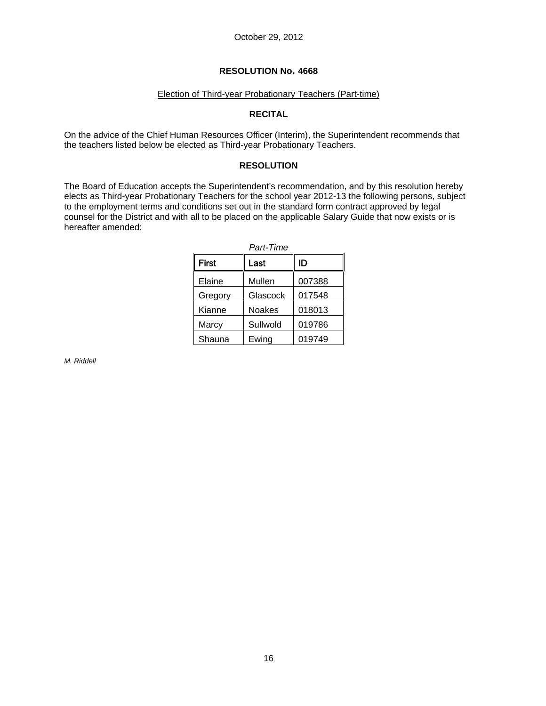## Election of Third-year Probationary Teachers (Part-time)

## **RECITAL**

On the advice of the Chief Human Resources Officer (Interim), the Superintendent recommends that the teachers listed below be elected as Third-year Probationary Teachers.

#### **RESOLUTION**

The Board of Education accepts the Superintendent's recommendation, and by this resolution hereby elects as Third-year Probationary Teachers for the school year 2012-13 the following persons, subject to the employment terms and conditions set out in the standard form contract approved by legal counsel for the District and with all to be placed on the applicable Salary Guide that now exists or is hereafter amended:

| Part-Time |          |        |  |
|-----------|----------|--------|--|
| First     | Last     | ID     |  |
| Elaine    | Mullen   | 007388 |  |
| Gregory   | Glascock | 017548 |  |
| Kianne    | Noakes   | 018013 |  |
| Marcy     | Sullwold | 019786 |  |
| Shauna    | Ewing    | 019749 |  |

16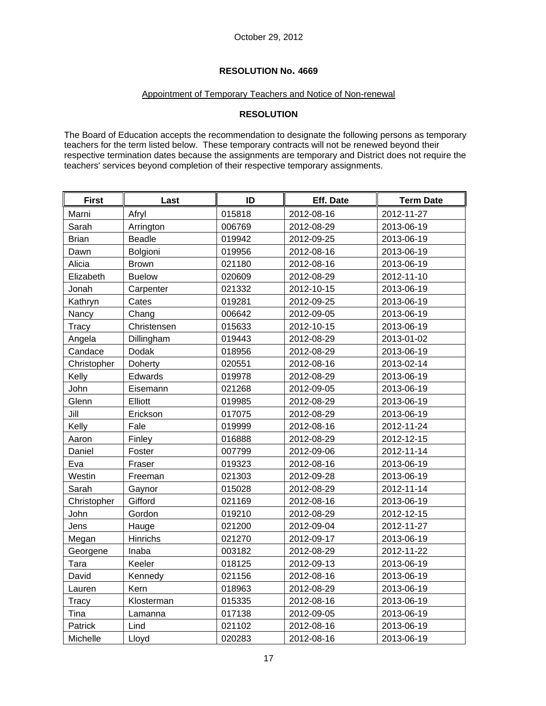## Appointment of Temporary Teachers and Notice of Non-renewal

## **RESOLUTION**

The Board of Education accepts the recommendation to designate the following persons as temporary teachers for the term listed below. These temporary contracts will not be renewed beyond their respective termination dates because the assignments are temporary and District does not require the teachers' services beyond completion of their respective temporary assignments.

| <b>First</b> | Last          | ID     | <b>Eff. Date</b> | <b>Term Date</b> |
|--------------|---------------|--------|------------------|------------------|
| Marni        | Afryl         | 015818 | 2012-08-16       | 2012-11-27       |
| Sarah        | Arrington     | 006769 | 2012-08-29       | 2013-06-19       |
| <b>Brian</b> | <b>Beadle</b> | 019942 | 2012-09-25       | 2013-06-19       |
| Dawn         | Bolgioni      | 019956 | 2012-08-16       | 2013-06-19       |
| Alicia       | <b>Brown</b>  | 021180 | 2012-08-16       | 2013-06-19       |
| Elizabeth    | <b>Buelow</b> | 020609 | 2012-08-29       | 2012-11-10       |
| Jonah        | Carpenter     | 021332 | 2012-10-15       | 2013-06-19       |
| Kathryn      | Cates         | 019281 | 2012-09-25       | 2013-06-19       |
| Nancy        | Chang         | 006642 | 2012-09-05       | 2013-06-19       |
| Tracy        | Christensen   | 015633 | 2012-10-15       | 2013-06-19       |
| Angela       | Dillingham    | 019443 | 2012-08-29       | 2013-01-02       |
| Candace      | Dodak         | 018956 | 2012-08-29       | 2013-06-19       |
| Christopher  | Doherty       | 020551 | 2012-08-16       | 2013-02-14       |
| Kelly        | Edwards       | 019978 | 2012-08-29       | 2013-06-19       |
| John         | Eisemann      | 021268 | 2012-09-05       | 2013-06-19       |
| Glenn        | Elliott       | 019985 | 2012-08-29       | 2013-06-19       |
| Jill         | Erickson      | 017075 | 2012-08-29       | 2013-06-19       |
| Kelly        | Fale          | 019999 | 2012-08-16       | 2012-11-24       |
| Aaron        | Finley        | 016888 | 2012-08-29       | 2012-12-15       |
| Daniel       | Foster        | 007799 | 2012-09-06       | 2012-11-14       |
| Eva          | Fraser        | 019323 | 2012-08-16       | 2013-06-19       |
| Westin       | Freeman       | 021303 | 2012-09-28       | 2013-06-19       |
| Sarah        | Gaynor        | 015028 | 2012-08-29       | 2012-11-14       |
| Christopher  | Gifford       | 021169 | 2012-08-16       | 2013-06-19       |
| John         | Gordon        | 019210 | 2012-08-29       | 2012-12-15       |
| Jens         | Hauge         | 021200 | 2012-09-04       | 2012-11-27       |
| Megan        | Hinrichs      | 021270 | 2012-09-17       | 2013-06-19       |
| Georgene     | Inaba         | 003182 | 2012-08-29       | 2012-11-22       |
| Tara         | Keeler        | 018125 | 2012-09-13       | 2013-06-19       |
| David        | Kennedy       | 021156 | 2012-08-16       | 2013-06-19       |
| Lauren       | Kern          | 018963 | 2012-08-29       | 2013-06-19       |
| Tracy        | Klosterman    | 015335 | 2012-08-16       | 2013-06-19       |
| Tina         | Lamanna       | 017138 | 2012-09-05       | 2013-06-19       |
| Patrick      | Lind          | 021102 | 2012-08-16       | 2013-06-19       |
| Michelle     | Lloyd         | 020283 | 2012-08-16       | 2013-06-19       |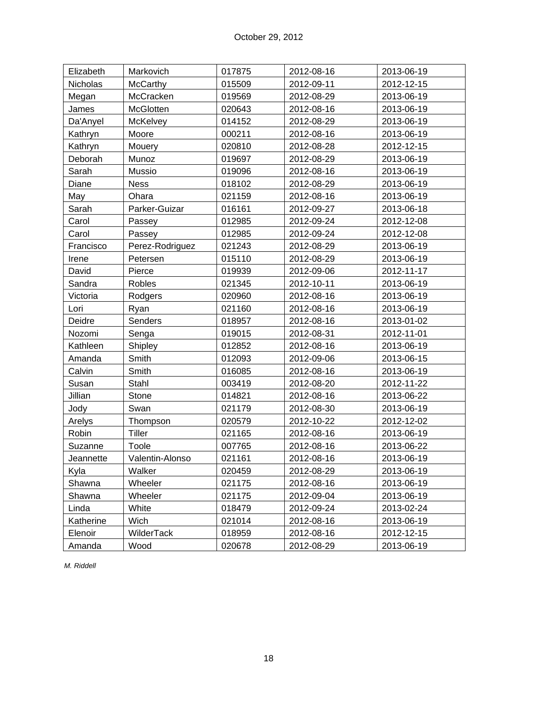| Elizabeth | Markovich       | 017875 | 2012-08-16 | 2013-06-19 |
|-----------|-----------------|--------|------------|------------|
| Nicholas  | McCarthy        | 015509 | 2012-09-11 | 2012-12-15 |
| Megan     | McCracken       | 019569 | 2012-08-29 | 2013-06-19 |
| James     | McGlotten       | 020643 | 2012-08-16 | 2013-06-19 |
| Da'Anyel  | McKelvey        | 014152 | 2012-08-29 | 2013-06-19 |
| Kathryn   | Moore           | 000211 | 2012-08-16 | 2013-06-19 |
| Kathryn   | Mouery          | 020810 | 2012-08-28 | 2012-12-15 |
| Deborah   | Munoz           | 019697 | 2012-08-29 | 2013-06-19 |
| Sarah     | Mussio          | 019096 | 2012-08-16 | 2013-06-19 |
| Diane     | <b>Ness</b>     | 018102 | 2012-08-29 | 2013-06-19 |
| May       | Ohara           | 021159 | 2012-08-16 | 2013-06-19 |
| Sarah     | Parker-Guizar   | 016161 | 2012-09-27 | 2013-06-18 |
| Carol     | Passey          | 012985 | 2012-09-24 | 2012-12-08 |
| Carol     | Passey          | 012985 | 2012-09-24 | 2012-12-08 |
| Francisco | Perez-Rodriguez | 021243 | 2012-08-29 | 2013-06-19 |
| Irene     | Petersen        | 015110 | 2012-08-29 | 2013-06-19 |
| David     | Pierce          | 019939 | 2012-09-06 | 2012-11-17 |
| Sandra    | Robles          | 021345 | 2012-10-11 | 2013-06-19 |
| Victoria  | Rodgers         | 020960 | 2012-08-16 | 2013-06-19 |
| Lori      | Ryan            | 021160 | 2012-08-16 | 2013-06-19 |
| Deidre    | Senders         | 018957 | 2012-08-16 | 2013-01-02 |
| Nozomi    | Senga           | 019015 | 2012-08-31 | 2012-11-01 |
| Kathleen  | Shipley         | 012852 | 2012-08-16 | 2013-06-19 |
| Amanda    | Smith           | 012093 | 2012-09-06 | 2013-06-15 |
| Calvin    | Smith           | 016085 | 2012-08-16 | 2013-06-19 |
| Susan     | Stahl           | 003419 | 2012-08-20 | 2012-11-22 |
| Jillian   | Stone           | 014821 | 2012-08-16 | 2013-06-22 |
| Jody      | Swan            | 021179 | 2012-08-30 | 2013-06-19 |
| Arelys    | Thompson        | 020579 | 2012-10-22 | 2012-12-02 |
| Robin     | Tiller          | 021165 | 2012-08-16 | 2013-06-19 |
| Suzanne   | Toole           | 007765 | 2012-08-16 | 2013-06-22 |
| Jeannette | Valentin-Alonso | 021161 | 2012-08-16 | 2013-06-19 |
| Kyla      | Walker          | 020459 | 2012-08-29 | 2013-06-19 |
| Shawna    | Wheeler         | 021175 | 2012-08-16 | 2013-06-19 |
| Shawna    | Wheeler         | 021175 | 2012-09-04 | 2013-06-19 |
| Linda     | White           | 018479 | 2012-09-24 | 2013-02-24 |
| Katherine | Wich            | 021014 | 2012-08-16 | 2013-06-19 |
| Elenoir   | WilderTack      | 018959 | 2012-08-16 | 2012-12-15 |
| Amanda    | Wood            | 020678 | 2012-08-29 | 2013-06-19 |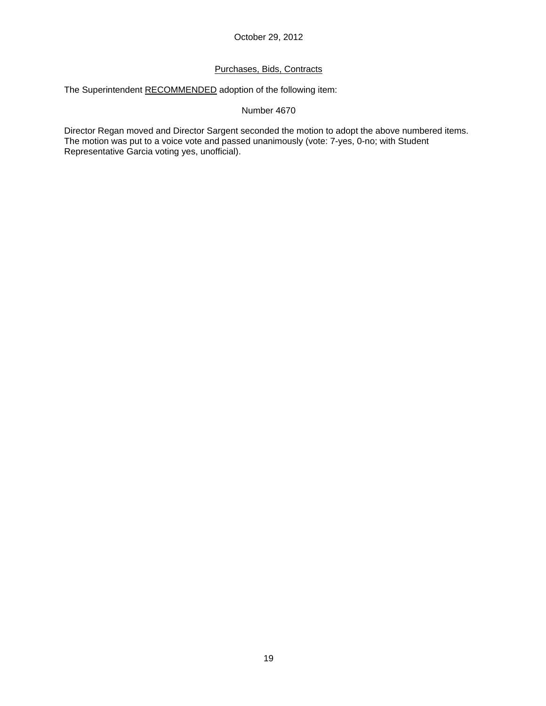# Purchases, Bids, Contracts

The Superintendent RECOMMENDED adoption of the following item:

### Number 4670

Director Regan moved and Director Sargent seconded the motion to adopt the above numbered items. The motion was put to a voice vote and passed unanimously (vote: 7-yes, 0-no; with Student Representative Garcia voting yes, unofficial).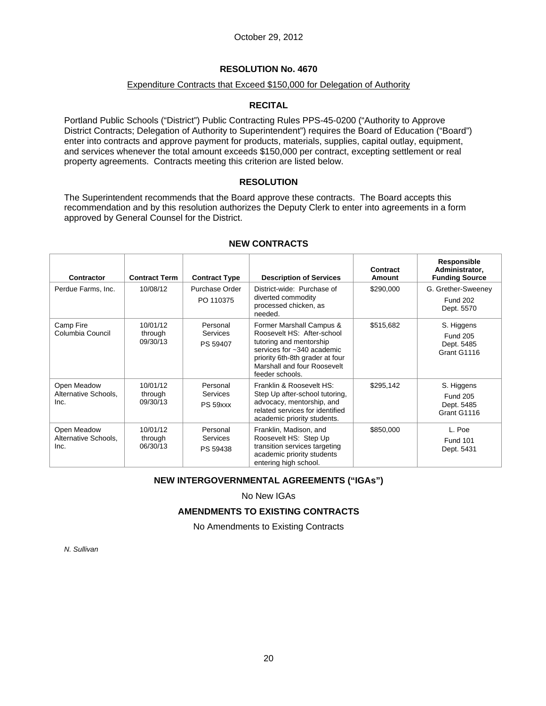#### Expenditure Contracts that Exceed \$150,000 for Delegation of Authority

## **RECITAL**

Portland Public Schools ("District") Public Contracting Rules PPS-45-0200 ("Authority to Approve District Contracts; Delegation of Authority to Superintendent") requires the Board of Education ("Board") enter into contracts and approve payment for products, materials, supplies, capital outlay, equipment, and services whenever the total amount exceeds \$150,000 per contract, excepting settlement or real property agreements. Contracts meeting this criterion are listed below.

### **RESOLUTION**

The Superintendent recommends that the Board approve these contracts. The Board accepts this recommendation and by this resolution authorizes the Deputy Clerk to enter into agreements in a form approved by General Counsel for the District.

| <b>Contractor</b>                           | <b>Contract Term</b>            | <b>Contract Type</b>                    | <b>Description of Services</b>                                                                                                                                                                       | Contract<br>Amount | Responsible<br>Administrator,<br><b>Funding Source</b>     |
|---------------------------------------------|---------------------------------|-----------------------------------------|------------------------------------------------------------------------------------------------------------------------------------------------------------------------------------------------------|--------------------|------------------------------------------------------------|
| Perdue Farms, Inc.                          | 10/08/12                        | Purchase Order<br>PO 110375             | District-wide: Purchase of<br>diverted commodity<br>processed chicken, as<br>needed.                                                                                                                 | \$290,000          | G. Grether-Sweeney<br><b>Fund 202</b><br>Dept. 5570        |
| Camp Fire<br>Columbia Council               | 10/01/12<br>through<br>09/30/13 | Personal<br><b>Services</b><br>PS 59407 | Former Marshall Campus &<br>Roosevelt HS: After-school<br>tutoring and mentorship<br>services for ~340 academic<br>priority 6th-8th grader at four<br>Marshall and four Roosevelt<br>feeder schools. | \$515,682          | S. Higgens<br><b>Fund 205</b><br>Dept. 5485<br>Grant G1116 |
| Open Meadow<br>Alternative Schools.<br>Inc. | 10/01/12<br>through<br>09/30/13 | Personal<br><b>Services</b><br>PS 59xxx | Franklin & Roosevelt HS:<br>Step Up after-school tutoring,<br>advocacy, mentorship, and<br>related services for identified<br>academic priority students.                                            | \$295,142          | S. Higgens<br><b>Fund 205</b><br>Dept. 5485<br>Grant G1116 |
| Open Meadow<br>Alternative Schools.<br>Inc. | 10/01/12<br>through<br>06/30/13 | Personal<br><b>Services</b><br>PS 59438 | Franklin, Madison, and<br>Roosevelt HS: Step Up<br>transition services targeting<br>academic priority students<br>entering high school.                                                              | \$850,000          | L. Poe<br><b>Fund 101</b><br>Dept. 5431                    |

### **NEW CONTRACTS**

# **NEW INTERGOVERNMENTAL AGREEMENTS ("IGAs")**

No New IGAs

# **AMENDMENTS TO EXISTING CONTRACTS**

No Amendments to Existing Contracts

*N. Sullivan*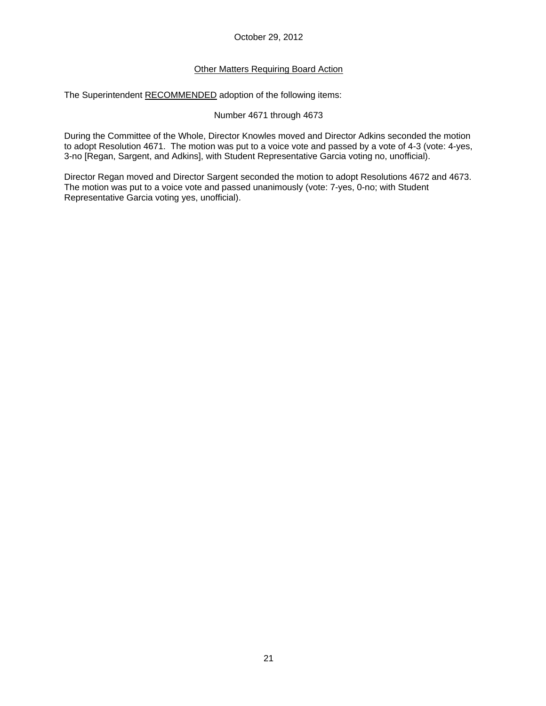### October 29, 2012

## Other Matters Requiring Board Action

The Superintendent RECOMMENDED adoption of the following items:

### Number 4671 through 4673

During the Committee of the Whole, Director Knowles moved and Director Adkins seconded the motion to adopt Resolution 4671. The motion was put to a voice vote and passed by a vote of 4-3 (vote: 4-yes, 3-no [Regan, Sargent, and Adkins], with Student Representative Garcia voting no, unofficial).

Director Regan moved and Director Sargent seconded the motion to adopt Resolutions 4672 and 4673. The motion was put to a voice vote and passed unanimously (vote: 7-yes, 0-no; with Student Representative Garcia voting yes, unofficial).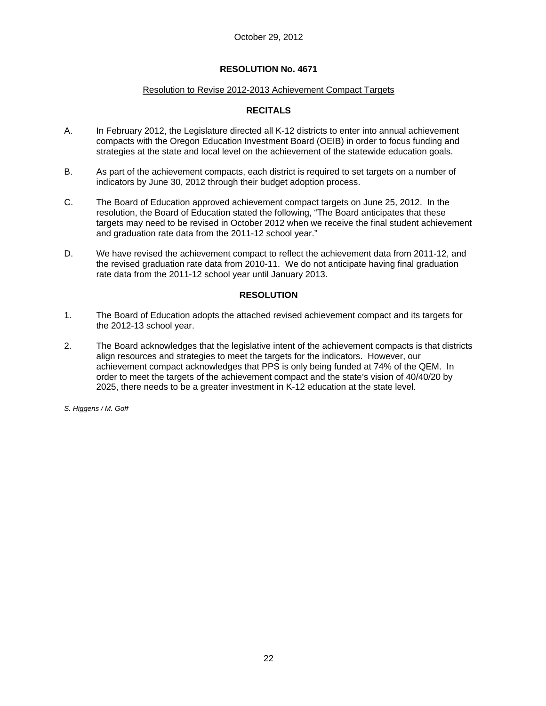#### Resolution to Revise 2012-2013 Achievement Compact Targets

## **RECITALS**

- A. In February 2012, the Legislature directed all K-12 districts to enter into annual achievement compacts with the Oregon Education Investment Board (OEIB) in order to focus funding and strategies at the state and local level on the achievement of the statewide education goals.
- B. As part of the achievement compacts, each district is required to set targets on a number of indicators by June 30, 2012 through their budget adoption process.
- C. The Board of Education approved achievement compact targets on June 25, 2012. In the resolution, the Board of Education stated the following, "The Board anticipates that these targets may need to be revised in October 2012 when we receive the final student achievement and graduation rate data from the 2011-12 school year."
- D. We have revised the achievement compact to reflect the achievement data from 2011-12, and the revised graduation rate data from 2010-11. We do not anticipate having final graduation rate data from the 2011-12 school year until January 2013.

## **RESOLUTION**

- 1. The Board of Education adopts the attached revised achievement compact and its targets for the 2012-13 school year.
- 2. The Board acknowledges that the legislative intent of the achievement compacts is that districts align resources and strategies to meet the targets for the indicators. However, our achievement compact acknowledges that PPS is only being funded at 74% of the QEM. In order to meet the targets of the achievement compact and the state's vision of 40/40/20 by 2025, there needs to be a greater investment in K-12 education at the state level.

*S. Higgens / M. Goff*